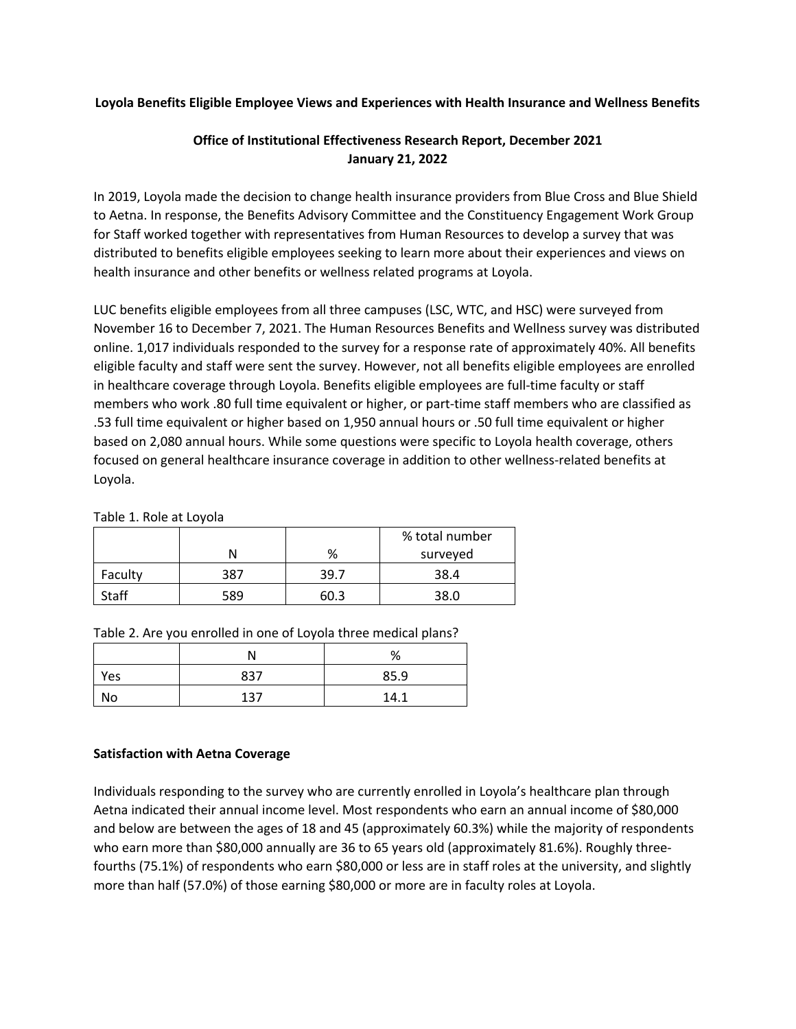## **Loyola Benefits Eligible Employee Views and Experiences with Health Insurance and Wellness Benefits**

# **Office of Institutional Effectiveness Research Report, December 2021 January 21, 2022**

In 2019, Loyola made the decision to change health insurance providers from Blue Cross and Blue Shield to Aetna. In response, the Benefits Advisory Committee and the Constituency Engagement Work Group for Staff worked together with representatives from Human Resources to develop a survey that was distributed to benefits eligible employees seeking to learn more about their experiences and views on health insurance and other benefits or wellness related programs at Loyola.

LUC benefits eligible employees from all three campuses (LSC, WTC, and HSC) were surveyed from November 16 to December 7, 2021. The Human Resources Benefits and Wellness survey was distributed online. 1,017 individuals responded to the survey for a response rate of approximately 40%. All benefits eligible faculty and staff were sent the survey. However, not all benefits eligible employees are enrolled in healthcare coverage through Loyola. Benefits eligible employees are full-time faculty or staff members who work .80 full time equivalent or higher, or part-time staff members who are classified as .53 full time equivalent or higher based on 1,950 annual hours or .50 full time equivalent or higher based on 2,080 annual hours. While some questions were specific to Loyola health coverage, others focused on general healthcare insurance coverage in addition to other wellness-related benefits at Loyola.

| Table 1. Role at Loyola |  |  |  |  |  |
|-------------------------|--|--|--|--|--|
|-------------------------|--|--|--|--|--|

|              |     |       | % total number |
|--------------|-----|-------|----------------|
|              |     | %     | surveyed       |
| Faculty      | 387 | 39.7  | 38.4           |
| <b>Staff</b> | 589 | ና በ 3 | 38.0           |

| Table 2. Are you enrolled in one of Loyola three medical plans? |  |  |  |  |  |  |
|-----------------------------------------------------------------|--|--|--|--|--|--|
|-----------------------------------------------------------------|--|--|--|--|--|--|

|     |     | %    |
|-----|-----|------|
| Yes | 837 | 85.9 |
| No  | 137 | 14.1 |

## **Satisfaction with Aetna Coverage**

Individuals responding to the survey who are currently enrolled in Loyola's healthcare plan through Aetna indicated their annual income level. Most respondents who earn an annual income of \$80,000 and below are between the ages of 18 and 45 (approximately 60.3%) while the majority of respondents who earn more than \$80,000 annually are 36 to 65 years old (approximately 81.6%). Roughly threefourths (75.1%) of respondents who earn \$80,000 or less are in staff roles at the university, and slightly more than half (57.0%) of those earning \$80,000 or more are in faculty roles at Loyola.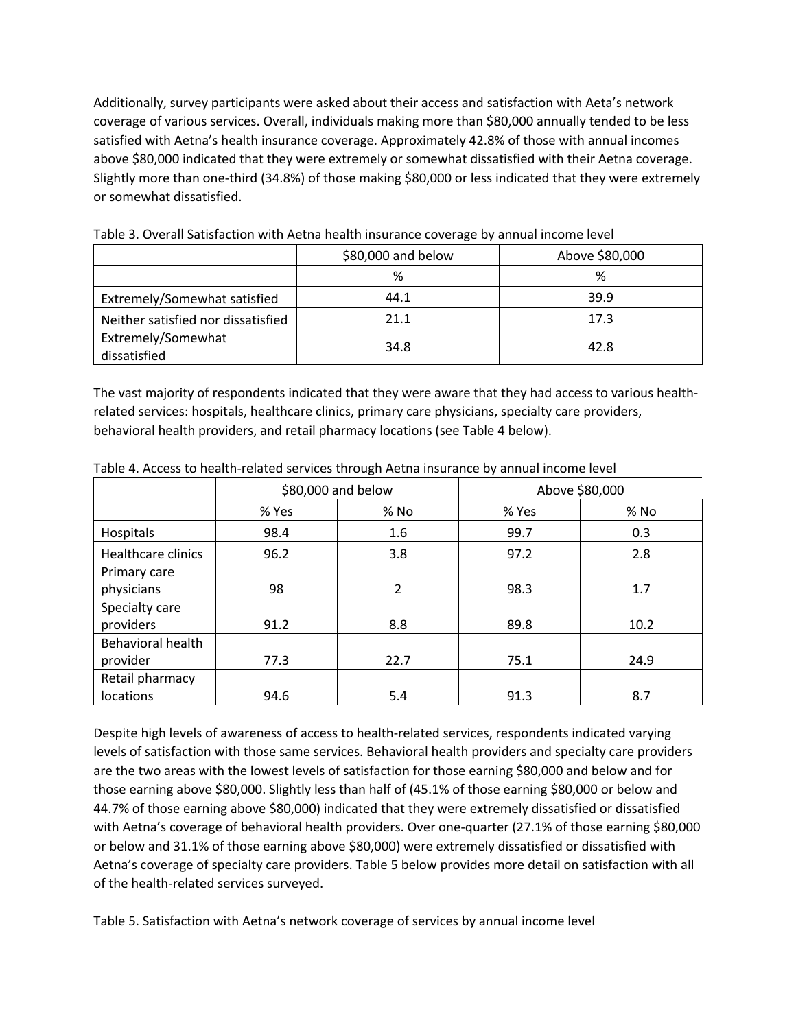Additionally, survey participants were asked about their access and satisfaction with Aeta's network coverage of various services. Overall, individuals making more than \$80,000 annually tended to be less satisfied with Aetna's health insurance coverage. Approximately 42.8% of those with annual incomes above \$80,000 indicated that they were extremely or somewhat dissatisfied with their Aetna coverage. Slightly more than one-third (34.8%) of those making \$80,000 or less indicated that they were extremely or somewhat dissatisfied.

|                                    | \$80,000 and below | Above \$80,000 |
|------------------------------------|--------------------|----------------|
|                                    | %                  | %              |
| Extremely/Somewhat satisfied       | 44.1               | 39.9           |
| Neither satisfied nor dissatisfied | 21.1               | 17.3           |
| Extremely/Somewhat<br>dissatisfied | 34.8               | 42.8           |

Table 3. Overall Satisfaction with Aetna health insurance coverage by annual income level

The vast majority of respondents indicated that they were aware that they had access to various healthrelated services: hospitals, healthcare clinics, primary care physicians, specialty care providers, behavioral health providers, and retail pharmacy locations (see Table 4 below).

|                           |       | \$80,000 and below |       | Above \$80,000 |
|---------------------------|-------|--------------------|-------|----------------|
|                           | % Yes | $%$ No             | % Yes | % No           |
| Hospitals                 | 98.4  | 1.6                | 99.7  | 0.3            |
| <b>Healthcare clinics</b> | 96.2  | 3.8                | 97.2  | 2.8            |
| Primary care              |       |                    |       |                |
| physicians                | 98    | 2                  | 98.3  | 1.7            |
| Specialty care            |       |                    |       |                |
| providers                 | 91.2  | 8.8                | 89.8  | 10.2           |
| Behavioral health         |       |                    |       |                |
| provider                  | 77.3  | 22.7               | 75.1  | 24.9           |
| Retail pharmacy           |       |                    |       |                |
| locations                 | 94.6  | 5.4                | 91.3  | 8.7            |

Table 4. Access to health-related services through Aetna insurance by annual income level

Despite high levels of awareness of access to health-related services, respondents indicated varying levels of satisfaction with those same services. Behavioral health providers and specialty care providers are the two areas with the lowest levels of satisfaction for those earning \$80,000 and below and for those earning above \$80,000. Slightly less than half of (45.1% of those earning \$80,000 or below and 44.7% of those earning above \$80,000) indicated that they were extremely dissatisfied or dissatisfied with Aetna's coverage of behavioral health providers. Over one-quarter (27.1% of those earning \$80,000 or below and 31.1% of those earning above \$80,000) were extremely dissatisfied or dissatisfied with Aetna's coverage of specialty care providers. Table 5 below provides more detail on satisfaction with all of the health-related services surveyed.

Table 5. Satisfaction with Aetna's network coverage of services by annual income level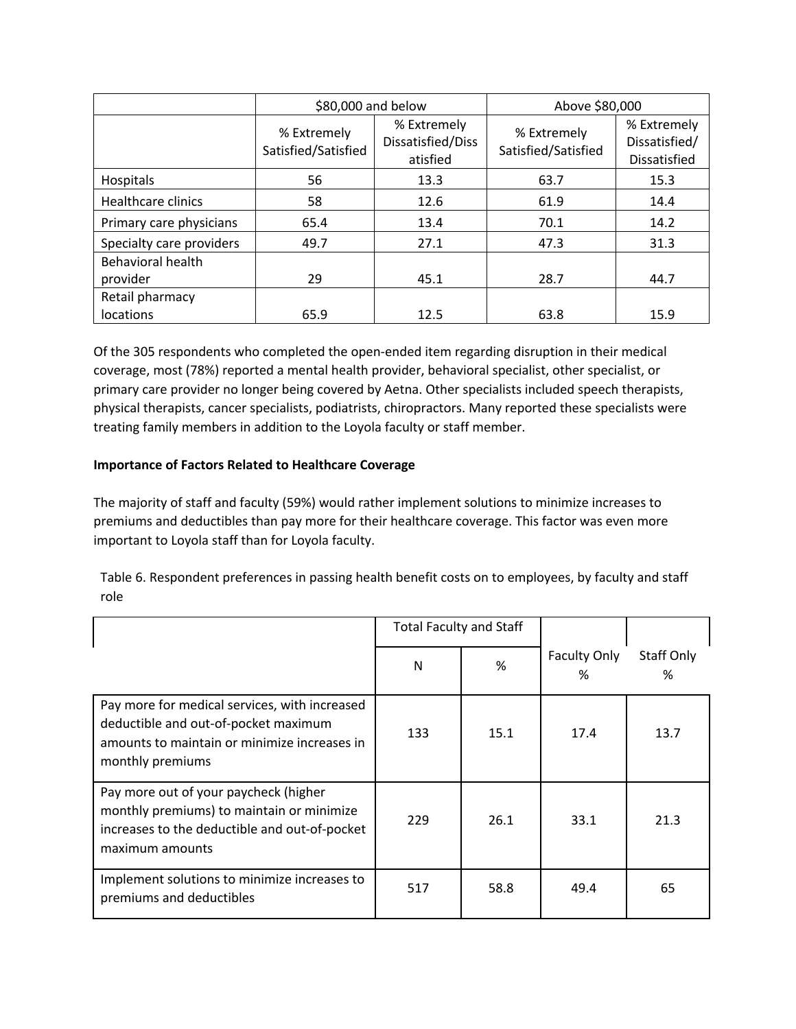|                               | \$80,000 and below                 |                                              | Above \$80,000                     |                                                     |  |
|-------------------------------|------------------------------------|----------------------------------------------|------------------------------------|-----------------------------------------------------|--|
|                               | % Extremely<br>Satisfied/Satisfied | % Extremely<br>Dissatisfied/Diss<br>atisfied | % Extremely<br>Satisfied/Satisfied | % Extremely<br>Dissatisfied/<br><b>Dissatisfied</b> |  |
| Hospitals                     | 56                                 | 13.3                                         | 63.7                               | 15.3                                                |  |
| Healthcare clinics            | 58                                 | 12.6                                         | 61.9                               | 14.4                                                |  |
| Primary care physicians       | 65.4                               | 13.4                                         | 70.1                               | 14.2                                                |  |
| Specialty care providers      | 49.7                               | 27.1                                         | 47.3                               | 31.3                                                |  |
| Behavioral health<br>provider | 29                                 | 45.1                                         | 28.7                               | 44.7                                                |  |
| Retail pharmacy<br>locations  | 65.9                               | 12.5                                         | 63.8                               | 15.9                                                |  |

Of the 305 respondents who completed the open-ended item regarding disruption in their medical coverage, most (78%) reported a mental health provider, behavioral specialist, other specialist, or primary care provider no longer being covered by Aetna. Other specialists included speech therapists, physical therapists, cancer specialists, podiatrists, chiropractors. Many reported these specialists were treating family members in addition to the Loyola faculty or staff member.

## **Importance of Factors Related to Healthcare Coverage**

The majority of staff and faculty (59%) would rather implement solutions to minimize increases to premiums and deductibles than pay more for their healthcare coverage. This factor was even more important to Loyola staff than for Loyola faculty.

| Table 6. Respondent preferences in passing health benefit costs on to employees, by faculty and staff |  |
|-------------------------------------------------------------------------------------------------------|--|
| role                                                                                                  |  |

|                                                                                                                                                           | <b>Total Faculty and Staff</b> |      |                          |                 |
|-----------------------------------------------------------------------------------------------------------------------------------------------------------|--------------------------------|------|--------------------------|-----------------|
|                                                                                                                                                           | N                              | %    | <b>Faculty Only</b><br>% | Staff Only<br>% |
| Pay more for medical services, with increased<br>deductible and out-of-pocket maximum<br>amounts to maintain or minimize increases in<br>monthly premiums | 133                            | 15.1 | 17.4                     | 13.7            |
| Pay more out of your paycheck (higher<br>monthly premiums) to maintain or minimize<br>increases to the deductible and out-of-pocket<br>maximum amounts    | 229                            | 26.1 | 33.1                     | 21.3            |
| Implement solutions to minimize increases to<br>premiums and deductibles                                                                                  | 517                            | 58.8 | 49.4                     | 65              |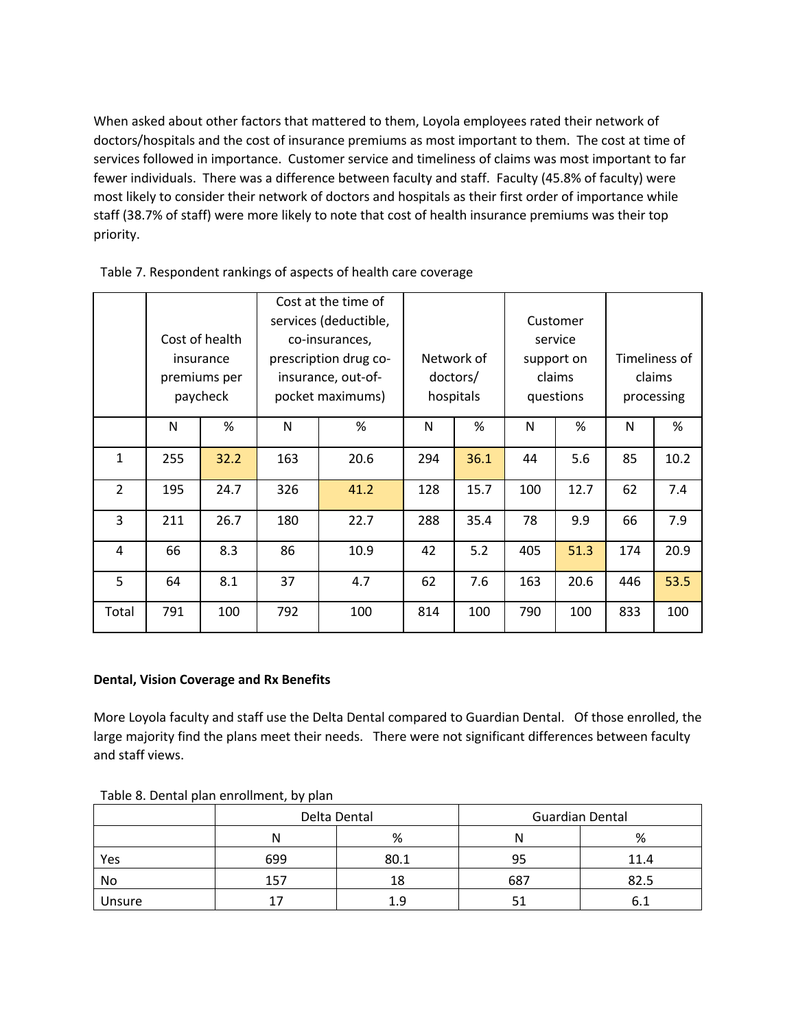When asked about other factors that mattered to them, Loyola employees rated their network of doctors/hospitals and the cost of insurance premiums as most important to them. The cost at time of services followed in importance. Customer service and timeliness of claims was most important to far fewer individuals. There was a difference between faculty and staff. Faculty (45.8% of faculty) were most likely to consider their network of doctors and hospitals as their first order of importance while staff (38.7% of staff) were more likely to note that cost of health insurance premiums was their top priority.

|                |     |                | Cost at the time of   |                       |     |            |          |            |     |               |
|----------------|-----|----------------|-----------------------|-----------------------|-----|------------|----------|------------|-----|---------------|
|                |     |                | services (deductible, |                       |     |            | Customer |            |     |               |
|                |     | Cost of health |                       | co-insurances,        |     |            |          | service    |     |               |
|                |     | insurance      |                       | prescription drug co- |     | Network of |          | support on |     | Timeliness of |
|                |     | premiums per   |                       | insurance, out-of-    |     | doctors/   |          | claims     |     | claims        |
|                |     | paycheck       |                       | pocket maximums)      |     | hospitals  |          | questions  |     | processing    |
|                | N   | %              | N                     | %                     | N   | %          | N        | %          | N   | %             |
| $\mathbf{1}$   | 255 | 32.2           | 163                   | 20.6                  | 294 | 36.1       | 44       | 5.6        | 85  | 10.2          |
| $\overline{2}$ | 195 | 24.7           | 326                   | 41.2                  | 128 | 15.7       | 100      | 12.7       | 62  | 7.4           |
| 3              | 211 | 26.7           | 180                   | 22.7                  | 288 | 35.4       | 78       | 9.9        | 66  | 7.9           |
| 4              | 66  | 8.3            | 86                    | 10.9                  | 42  | 5.2        | 405      | 51.3       | 174 | 20.9          |
| 5              | 64  | 8.1            | 37                    | 4.7                   | 62  | 7.6        | 163      | 20.6       | 446 | 53.5          |
| Total          | 791 | 100            | 792                   | 100                   | 814 | 100        | 790      | 100        | 833 | 100           |

Table 7. Respondent rankings of aspects of health care coverage

## **Dental, Vision Coverage and Rx Benefits**

More Loyola faculty and staff use the Delta Dental compared to Guardian Dental. Of those enrolled, the large majority find the plans meet their needs. There were not significant differences between faculty and staff views.

|        |     | Delta Dental |     | <b>Guardian Dental</b> |
|--------|-----|--------------|-----|------------------------|
|        | Ν   | %            | N   | %                      |
| Yes    | 699 | 80.1         | 95  | 11.4                   |
| No     | 157 | 18           | 687 | 82.5                   |
| Unsure |     |              |     |                        |

Table 8. Dental plan enrollment, by plan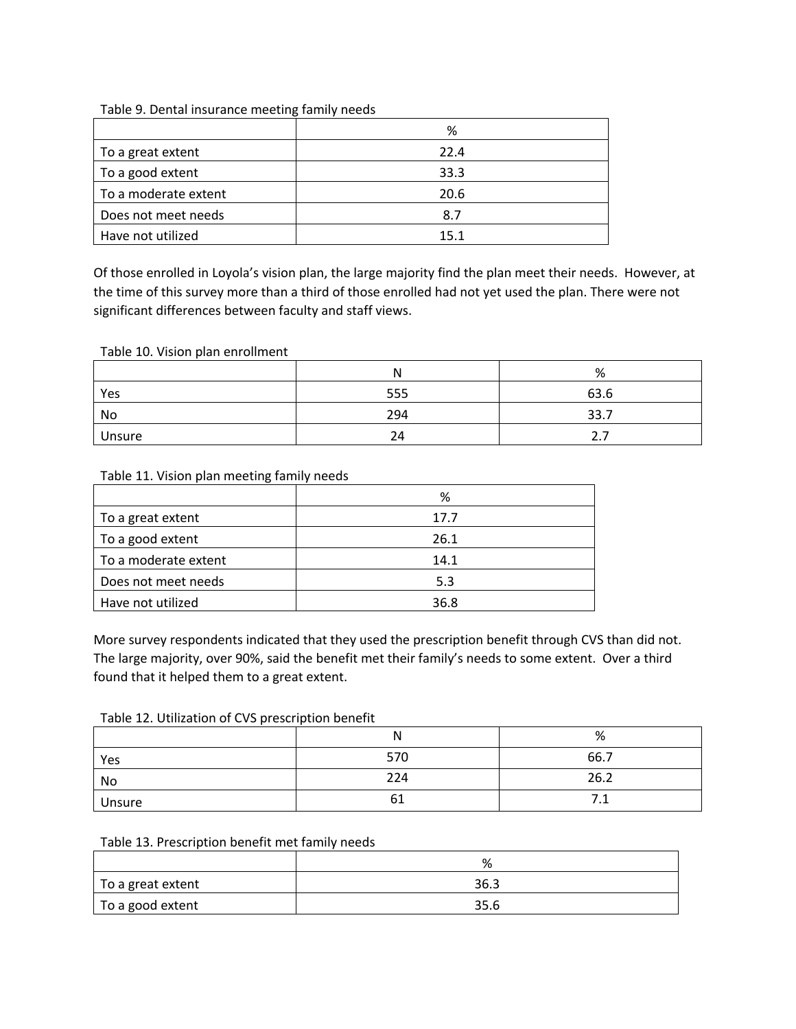|                      | %    |
|----------------------|------|
| To a great extent    | 22.4 |
| To a good extent     | 33.3 |
| To a moderate extent | 20.6 |
| Does not meet needs  | 8.7  |
| Have not utilized    | 15.1 |

Table 9. Dental insurance meeting family needs

Of those enrolled in Loyola's vision plan, the large majority find the plan meet their needs. However, at the time of this survey more than a third of those enrolled had not yet used the plan. There were not significant differences between faculty and staff views.

### Table 10. Vision plan enrollment

|        | N   | %        |
|--------|-----|----------|
| Yes    | 555 | 63.6     |
| No     | 294 | 33.7     |
| Unsure | 24  | $\sim\,$ |

### Table 11. Vision plan meeting family needs

|                      | %    |
|----------------------|------|
| To a great extent    | 17.7 |
| To a good extent     | 26.1 |
| To a moderate extent | 14.1 |
| Does not meet needs  | 5.3  |
| Have not utilized    | 36.8 |

More survey respondents indicated that they used the prescription benefit through CVS than did not. The large majority, over 90%, said the benefit met their family's needs to some extent. Over a third found that it helped them to a great extent.

#### Table 12. Utilization of CVS prescription benefit

|        | N   | %            |
|--------|-----|--------------|
| Yes    | 570 | 66.7         |
| No     | 224 | 26.2         |
| Unsure | b.  | , <u>. .</u> |

#### Table 13. Prescription benefit met family needs

|                   | %    |
|-------------------|------|
| To a great extent | 36.3 |
| To a good extent  | 35.6 |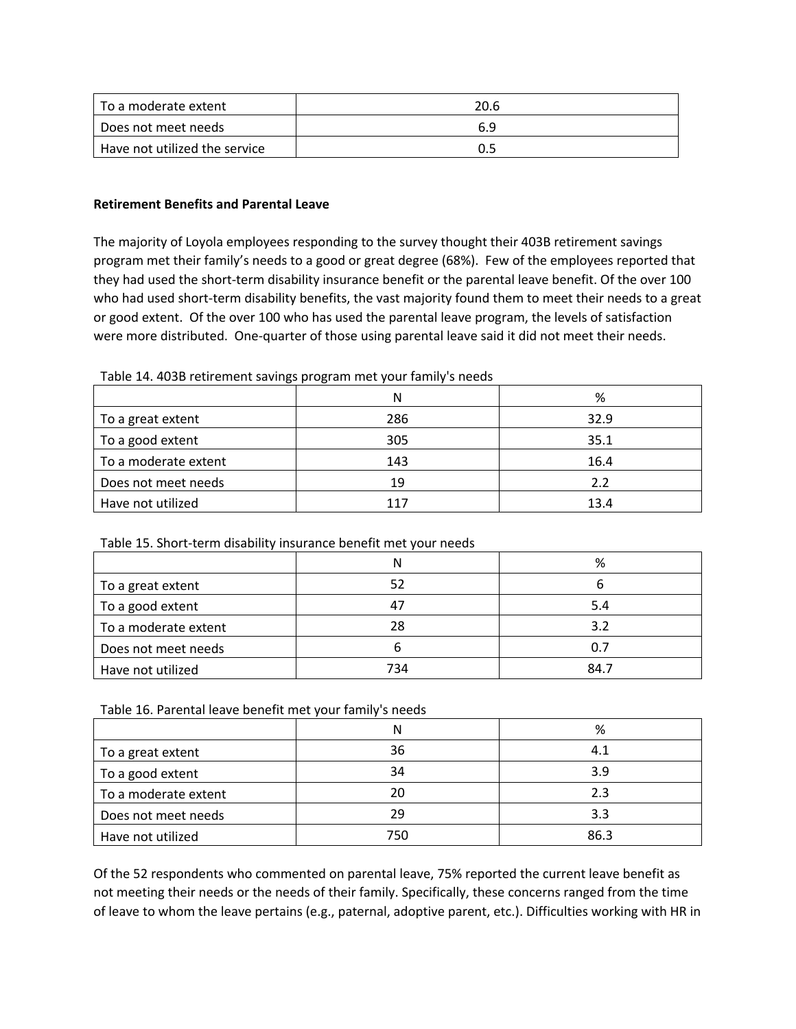| l To a moderate extent        | 20.6 |
|-------------------------------|------|
| Does not meet needs           | 6.9  |
| Have not utilized the service | 0.5  |

## **Retirement Benefits and Parental Leave**

The majority of Loyola employees responding to the survey thought their 403B retirement savings program met their family's needs to a good or great degree (68%). Few of the employees reported that they had used the short-term disability insurance benefit or the parental leave benefit. Of the over 100 who had used short-term disability benefits, the vast majority found them to meet their needs to a great or good extent. Of the over 100 who has used the parental leave program, the levels of satisfaction were more distributed. One-quarter of those using parental leave said it did not meet their needs.

### Table 14. 403B retirement savings program met your family's needs

|                      | N   | %    |
|----------------------|-----|------|
| To a great extent    | 286 | 32.9 |
| To a good extent     | 305 | 35.1 |
| To a moderate extent | 143 | 16.4 |
| Does not meet needs  | 19  | 2.2  |
| Have not utilized    | 117 | 13.4 |

## Table 15. Short-term disability insurance benefit met your needs

|                      | N   | %    |
|----------------------|-----|------|
| To a great extent    | 52  |      |
| To a good extent     |     | 5.4  |
| To a moderate extent | 28  | 3.2  |
| Does not meet needs  |     | 0.7  |
| Have not utilized    | 734 | 84.7 |

#### Table 16. Parental leave benefit met your family's needs

|                      | N   | %    |
|----------------------|-----|------|
| To a great extent    | 36  | 4.1  |
| To a good extent     | 34  | 3.9  |
| To a moderate extent | 20  | 2.3  |
| Does not meet needs  | 29  | 3.3  |
| Have not utilized    | 750 | 86.3 |

Of the 52 respondents who commented on parental leave, 75% reported the current leave benefit as not meeting their needs or the needs of their family. Specifically, these concerns ranged from the time of leave to whom the leave pertains (e.g., paternal, adoptive parent, etc.). Difficulties working with HR in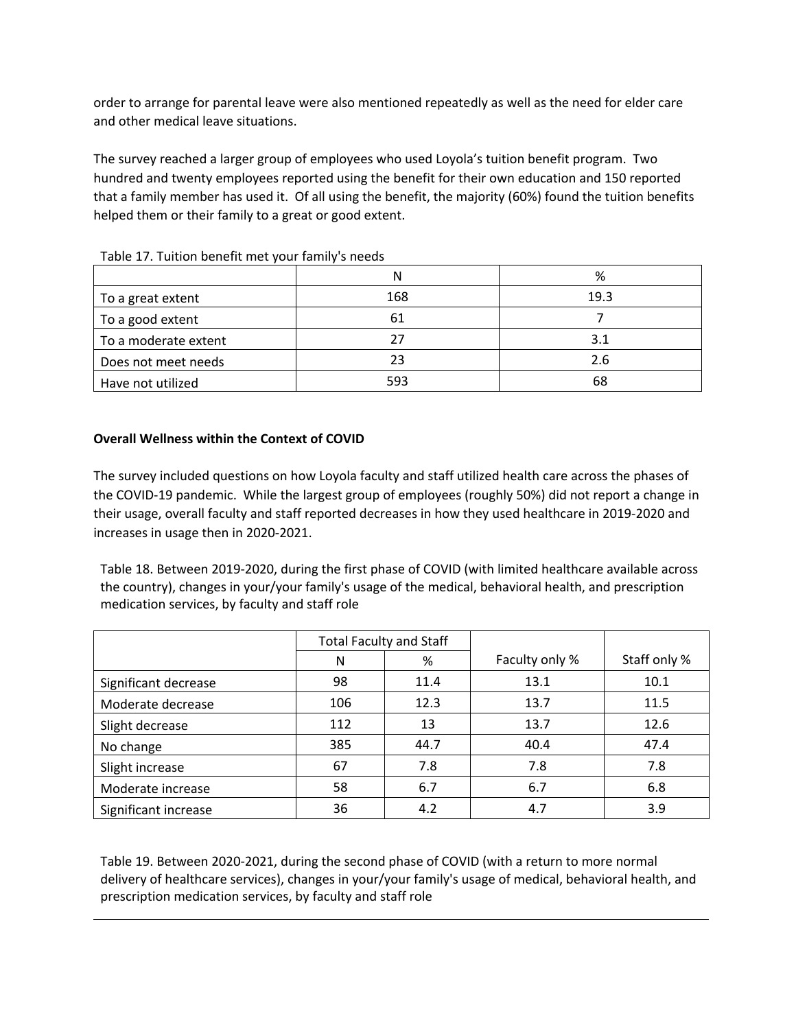order to arrange for parental leave were also mentioned repeatedly as well as the need for elder care and other medical leave situations.

The survey reached a larger group of employees who used Loyola's tuition benefit program. Two hundred and twenty employees reported using the benefit for their own education and 150 reported that a family member has used it. Of all using the benefit, the majority (60%) found the tuition benefits helped them or their family to a great or good extent.

|                      | N   | %    |
|----------------------|-----|------|
| To a great extent    | 168 | 19.3 |
| To a good extent     | 61  |      |
| To a moderate extent | 27  | 3.1  |
| Does not meet needs  | 23  | 2.6  |
| Have not utilized    | 593 | 68   |

Table 17. Tuition benefit met your family's needs

# **Overall Wellness within the Context of COVID**

The survey included questions on how Loyola faculty and staff utilized health care across the phases of the COVID-19 pandemic. While the largest group of employees (roughly 50%) did not report a change in their usage, overall faculty and staff reported decreases in how they used healthcare in 2019-2020 and increases in usage then in 2020-2021.

Table 18. Between 2019-2020, during the first phase of COVID (with limited healthcare available across the country), changes in your/your family's usage of the medical, behavioral health, and prescription medication services, by faculty and staff role

|                      | <b>Total Faculty and Staff</b> |      |                |              |
|----------------------|--------------------------------|------|----------------|--------------|
|                      | N                              | %    | Faculty only % | Staff only % |
| Significant decrease | 98                             | 11.4 | 13.1           | 10.1         |
| Moderate decrease    | 106                            | 12.3 | 13.7           | 11.5         |
| Slight decrease      | 112                            | 13   | 13.7           | 12.6         |
| No change            | 385                            | 44.7 | 40.4           | 47.4         |
| Slight increase      | 67                             | 7.8  | 7.8            | 7.8          |
| Moderate increase    | 58                             | 6.7  | 6.7            | 6.8          |
| Significant increase | 36                             | 4.2  | 4.7            | 3.9          |

Table 19. Between 2020-2021, during the second phase of COVID (with a return to more normal delivery of healthcare services), changes in your/your family's usage of medical, behavioral health, and prescription medication services, by faculty and staff role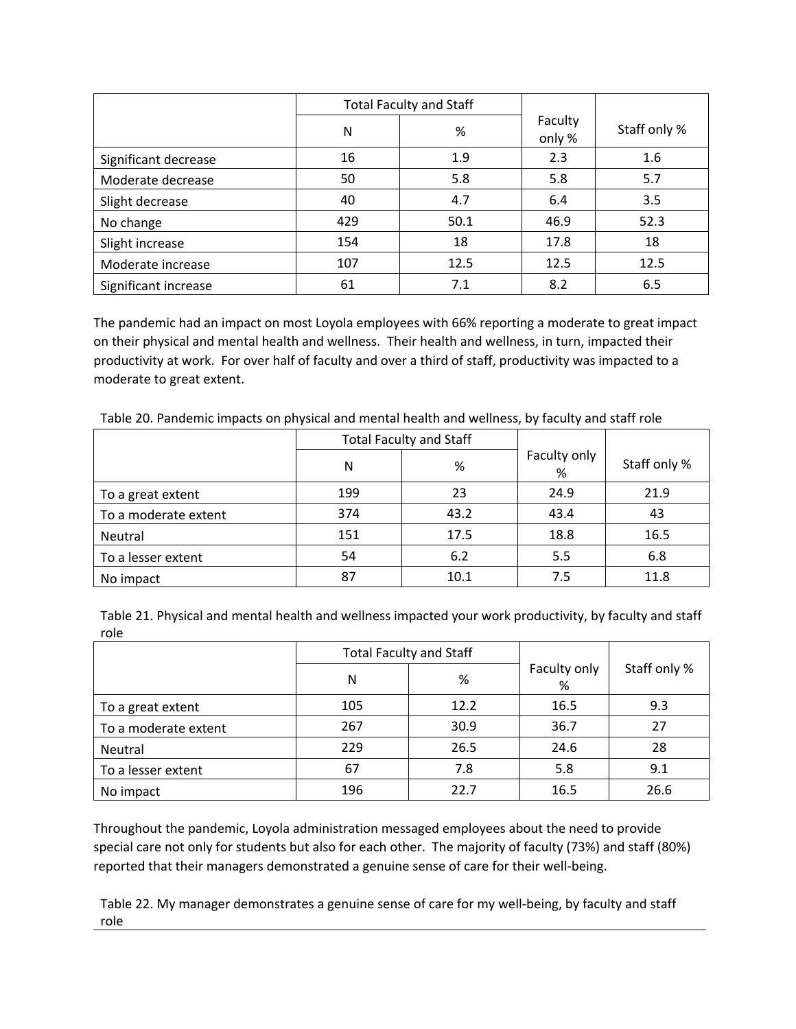|                      | <b>Total Faculty and Staff</b> |      |                   |              |
|----------------------|--------------------------------|------|-------------------|--------------|
|                      | N                              | %    | Faculty<br>only % | Staff only % |
| Significant decrease | 16                             | 1.9  | 2.3               | 1.6          |
| Moderate decrease    | 50                             | 5.8  | 5.8               | 5.7          |
| Slight decrease      | 40                             | 4.7  | 6.4               | 3.5          |
| No change            | 429                            | 50.1 | 46.9              | 52.3         |
| Slight increase      | 154                            | 18   | 17.8              | 18           |
| Moderate increase    | 107                            | 12.5 | 12.5              | 12.5         |
| Significant increase | 61                             | 7.1  | 8.2               | 6.5          |

The pandemic had an impact on most Loyola employees with 66% reporting a moderate to great impact on their physical and mental health and wellness. Their health and wellness, in turn, impacted their productivity at work. For over half of faculty and over a third of staff, productivity was impacted to a moderate to great extent.

|                      |     | <b>Total Faculty and Staff</b> |                   |              |
|----------------------|-----|--------------------------------|-------------------|--------------|
|                      | N   | %                              | Faculty only<br>% | Staff only % |
| To a great extent    | 199 | 23                             | 24.9              | 21.9         |
| To a moderate extent | 374 | 43.2                           | 43.4              | 43           |
| Neutral              | 151 | 17.5                           | 18.8              | 16.5         |
| To a lesser extent   | 54  | 6.2                            | 5.5               | 6.8          |
| No impact            | 87  | 10.1                           | 7.5               | 11.8         |

Table 20. Pandemic impacts on physical and mental health and wellness, by faculty and staff role

Table 21. Physical and mental health and wellness impacted your work productivity, by faculty and staff role

|                      | <b>Total Faculty and Staff</b> |      |                   |              |
|----------------------|--------------------------------|------|-------------------|--------------|
|                      | N                              | %    | Faculty only<br>% | Staff only % |
| To a great extent    | 105                            | 12.2 | 16.5              | 9.3          |
| To a moderate extent | 267                            | 30.9 | 36.7              | 27           |
| Neutral              | 229                            | 26.5 | 24.6              | 28           |
| To a lesser extent   | 67                             | 7.8  | 5.8               | 9.1          |
| No impact            | 196                            | 22.7 | 16.5              | 26.6         |

Throughout the pandemic, Loyola administration messaged employees about the need to provide special care not only for students but also for each other. The majority of faculty (73%) and staff (80%) reported that their managers demonstrated a genuine sense of care for their well-being.

Table 22. My manager demonstrates a genuine sense of care for my well-being, by faculty and staff role